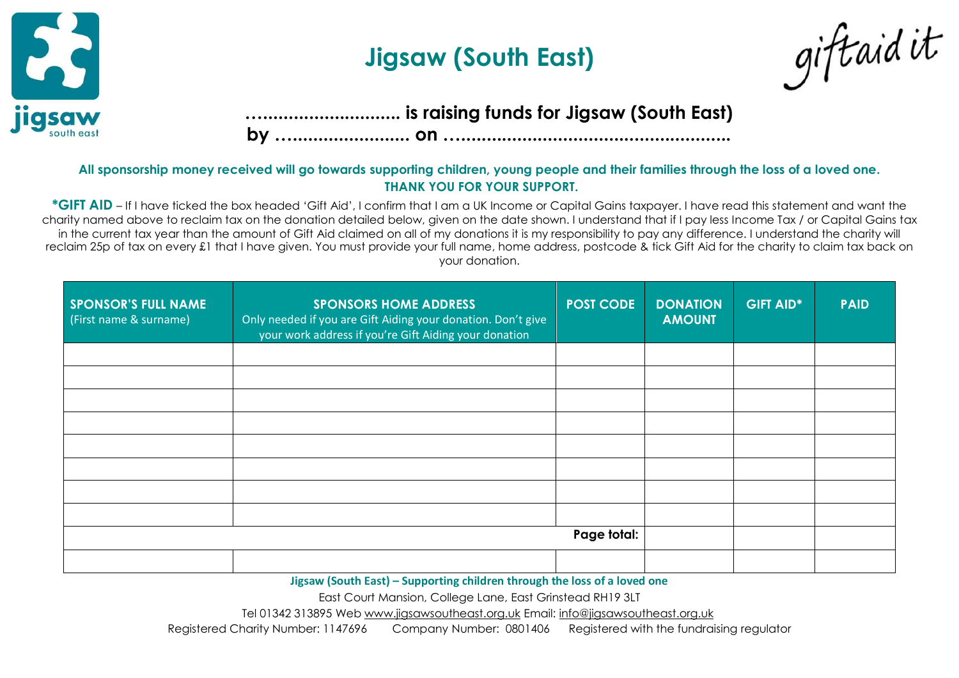

## **Jigsaw (South East)**



## **…........................... is raising funds for Jigsaw (South East)**

**by …....................... on ….....................................................**

## **All sponsorship money received will go towards supporting children, young people and their families through the loss of a loved one. THANK YOU FOR YOUR SUPPORT.**

**\*GIFT AID** – If I have ticked the box headed 'Gift Aid', I confirm that I am a UK Income or Capital Gains taxpayer. I have read this statement and want the charity named above to reclaim tax on the donation detailed below, given on the date shown. I understand that if I pay less Income Tax / or Capital Gains tax in the current tax year than the amount of Gift Aid claimed on all of my donations it is my responsibility to pay any difference. I understand the charity will reclaim 25p of tax on every £1 that I have given. You must provide your full name, home address, postcode & tick Gift Aid for the charity to claim tax back on your donation.

| <b>SPONSOR'S FULL NAME</b><br>(First name & surname) | <b>SPONSORS HOME ADDRESS</b><br>Only needed if you are Gift Aiding your donation. Don't give<br>your work address if you're Gift Aiding your donation | <b>POST CODE</b> | <b>DONATION</b><br><b>AMOUNT</b> | <b>GIFT AID*</b> | <b>PAID</b> |
|------------------------------------------------------|-------------------------------------------------------------------------------------------------------------------------------------------------------|------------------|----------------------------------|------------------|-------------|
|                                                      |                                                                                                                                                       |                  |                                  |                  |             |
|                                                      |                                                                                                                                                       |                  |                                  |                  |             |
|                                                      |                                                                                                                                                       |                  |                                  |                  |             |
|                                                      |                                                                                                                                                       |                  |                                  |                  |             |
|                                                      |                                                                                                                                                       |                  |                                  |                  |             |
|                                                      |                                                                                                                                                       |                  |                                  |                  |             |
|                                                      |                                                                                                                                                       |                  |                                  |                  |             |
|                                                      |                                                                                                                                                       |                  |                                  |                  |             |
|                                                      |                                                                                                                                                       | Page total:      |                                  |                  |             |
|                                                      |                                                                                                                                                       |                  |                                  |                  |             |

**Jigsaw (South East) – Supporting children through the loss of a loved one**

East Court Mansion, College Lane, East Grinstead RH19 3LT

Tel 01342 313895 Web [www.jigsawsoutheast.org.uk](http://www.jigsawsoutheast.org.uk/) Email: [info@jigsawsoutheast.org.uk](mailto:info@jigsawsoutheast.org.uk)

Registered Charity Number: 1147696 Company Number: 0801406 Registered with the fundraising regulator